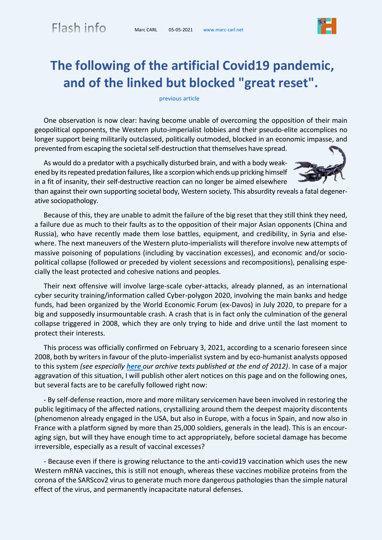## **The following of the artificial Covid19 pandemic, and of the linked but blocked "great reset".**

[previous article](http://www.marc-carl.net/download/US%20mess%2012-2020_en.pdf)

One observation is now clear: having become unable of overcoming the opposition of their main geopolitical opponents, the Western pluto-imperialist lobbies and their pseudo-elite accomplices no longer support being militarily outclassed, politically outmoded, blocked in an economic impasse, and prevented from escaping the societal self-destruction that themselves have spread.

As would do a predator with a psychically disturbed brain, and with a body weakened by its repeated predation failures, like a scorpion which ends up pricking himself in a fit of insanity, their self-destructive reaction can no longer be aimed elsewhere

than against their own supporting societal body, Western society. This absurdity reveals a fatal degenerative sociopathology.

Because of this, they are unable to admit the failure of the big reset that they still think they need, a failure due as much to their faults as to the opposition of their major Asian opponents (China and Russia), who have recently made them lose battles, equipment, and credibility, in Syria and elsewhere. The next maneuvers of the Western pluto-imperialists will therefore involve new attempts of massive poisoning of populations (including by vaccination excesses), and economic and/or sociopolitical collapse (followed or preceded by violent secessions and recompositions), penalising especially the least protected and cohesive nations and peoples.

Their next offensive will involve large-scale cyber-attacks, already planned, as an international cyber security training/information called Cyber-polygon 2020, involving the main banks and hedge funds, had been organized by the World Economic Forum (ex-Davos) in July 2020, to prepare for a big and supposedly insurmountable crash. A crash that is in fact only the culmination of the general collapse triggered in 2008, which they are only trying to hide and drive until the last moment to protect their interests.

This process was officially confirmed on February 3, 2021, according to a scenario foreseen since 2008, both by writersin favour of the pluto-imperialist system and by eco-humanist analysts opposed to this system *(see especially [here](http://www.marc-carl.net/intro-712-en.html) our archive texts published at the end of 2012)*. In case of a major aggravation of this situation, I will publish other alert notices on this page and on the following ones, but several facts are to be carefully followed right now:

- By self-defense reaction, more and more military servicemen have been involved in restoring the public legitimacy of the affected nations, crystallizing around them the deepest majority discontents (phenomenon already engaged in the USA, but also in Europe, with a focus in Spain, and now also in France with a platform signed by more than 25,000 soldiers, generals in the lead). This is an encouraging sign, but will they have enough time to act appropriately, before societal damage has become irreversible, especially as a result of vaccinal excesses?

- Because even if there is growing reluctance to the anti-covid19 vaccination which uses the new Western mRNA vaccines, this is still not enough, whereas these vaccines mobilize proteins from the corona of the SARScov2 virus to generate much more dangerous pathologies than the simple natural effect of the virus, and permanently incapacitate natural defenses.